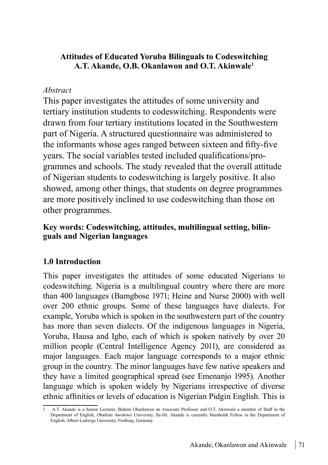### **Attitudes of Educated Yoruba Bilinguals to Codeswitching A.T. Akande, O.B. Okanlawon and O.T. Akinwale<sup>1</sup>**

## *Abstract*

This paper investigates the attitudes of some university and tertiary institution students to codeswitching. Respondents were drawn from four tertiary institutions located in the Southwestern part of Nigeria. A structured questionnaire was administered to the informants whose ages ranged between sixteen and fifty-five years. The social variables tested included qualifications/programmes and schools. The study revealed that the overall attitude of Nigerian students to codeswitching is largely positive. It also showed, among other things, that students on degree programmes are more positively inclined to use codeswitching than those on other programmes.

## **Key words: Codeswitching, attitudes, multilingual setting, bilinguals and Nigerian languages**

# **1.0 Introduction**

This paper investigates the attitudes of some educated Nigerians to codeswitching. Nigeria is a multilingual country where there are more than 400 languages (Bamgbose 1971; Heine and Nurse 2000) with well over 200 ethnic groups. Some of these languages have dialects. For example, Yoruba which is spoken in the southwestern part of the country has more than seven dialects. Of the indigenous languages in Nigeria, Yoruba, Hausa and Igbo, each of which is spoken natively by over 20 million people (Central Intelligence Agency 2011), are considered as major languages. Each major language corresponds to a major ethnic group in the country. The minor languages have few native speakers and they have a limited geographical spread (see Emenanjo 1995). Another language which is spoken widely by Nigerians irrespective of diverse ethnic affinities or levels of education is Nigerian Pidgin English. This is

<sup>1</sup> A.T. Akande is a Senior Lecturer, Bidemi Okanlawon an Associate Professor and O.T. Akinwale a member of Staff in the Department of English, Obafemi Awolowo University, Ile-Ife. Akande is currently Humboldt Fellow in the Department of English, Albert-Ludwigs University, Freiburg, Germany.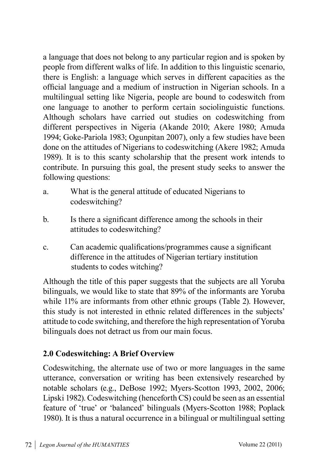a language that does not belong to any particular region and is spoken by people from different walks of life. In addition to this linguistic scenario, there is English: a language which serves in different capacities as the official language and a medium of instruction in Nigerian schools. In a multilingual setting like Nigeria, people are bound to codeswitch from one language to another to perform certain sociolinguistic functions. Although scholars have carried out studies on codeswitching from different perspectives in Nigeria (Akande 2010; Akere 1980; Amuda 1994; Goke-Pariola 1983; Ogunpitan 2007), only a few studies have been done on the attitudes of Nigerians to codeswitching (Akere 1982; Amuda 1989). It is to this scanty scholarship that the present work intends to contribute. In pursuing this goal, the present study seeks to answer the following questions:

- a. What is the general attitude of educated Nigerians to codeswitching?
- b. Is there a significant difference among the schools in their attitudes to codeswitching?
- c. Can academic qualifications/programmes cause a significant difference in the attitudes of Nigerian tertiary institution students to codes witching?

Although the title of this paper suggests that the subjects are all Yoruba bilinguals, we would like to state that 89% of the informants are Yoruba while 11% are informants from other ethnic groups (Table 2). However, this study is not interested in ethnic related differences in the subjects' attitude to code switching, and therefore the high representation of Yoruba bilinguals does not detract us from our main focus.

# **2.0 Codeswitching: A Brief Overview**

Codeswitching, the alternate use of two or more languages in the same utterance, conversation or writing has been extensively researched by notable scholars (e.g., DeBose 1992; Myers-Scotton 1993, 2002, 2006; Lipski 1982). Codeswitching (henceforth CS) could be seen as an essential feature of 'true' or 'balanced' bilinguals (Myers-Scotton 1988; Poplack 1980). It is thus a natural occurrence in a bilingual or multilingual setting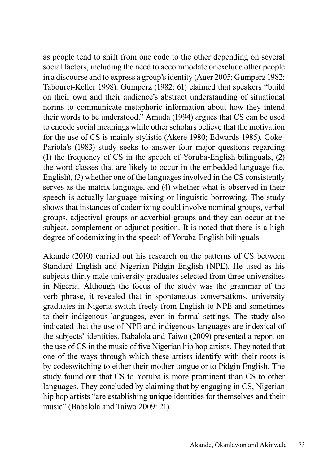as people tend to shift from one code to the other depending on several social factors, including the need to accommodate or exclude other people in a discourse and to express a group's identity (Auer 2005; Gumperz 1982; Tabouret-Keller 1998). Gumperz (1982: 61) claimed that speakers "build on their own and their audience's abstract understanding of situational norms to communicate metaphoric information about how they intend their words to be understood." Amuda (1994) argues that CS can be used to encode social meanings while other scholars believe that the motivation for the use of CS is mainly stylistic (Akere 1980; Edwards 1985). Goke-Pariola's (1983) study seeks to answer four major questions regarding (1) the frequency of CS in the speech of Yoruba-English bilinguals, (2) the word classes that are likely to occur in the embedded language (i.e. English), (3) whether one of the languages involved in the CS consistently serves as the matrix language, and (4) whether what is observed in their speech is actually language mixing or linguistic borrowing. The study shows that instances of codemixing could involve nominal groups, verbal groups, adjectival groups or adverbial groups and they can occur at the subject, complement or adjunct position. It is noted that there is a high degree of codemixing in the speech of Yoruba-English bilinguals.

Akande (2010) carried out his research on the patterns of CS between Standard English and Nigerian Pidgin English (NPE). He used as his subjects thirty male university graduates selected from three universities in Nigeria. Although the focus of the study was the grammar of the verb phrase, it revealed that in spontaneous conversations, university graduates in Nigeria switch freely from English to NPE and sometimes to their indigenous languages, even in formal settings. The study also indicated that the use of NPE and indigenous languages are indexical of the subjects' identities. Babalola and Taiwo (2009) presented a report on the use of CS in the music of five Nigerian hip hop artists. They noted that one of the ways through which these artists identify with their roots is by codeswitching to either their mother tongue or to Pidgin English. The study found out that CS to Yoruba is more prominent than CS to other languages. They concluded by claiming that by engaging in CS, Nigerian hip hop artists "are establishing unique identities for themselves and their music" (Babalola and Taiwo 2009: 21).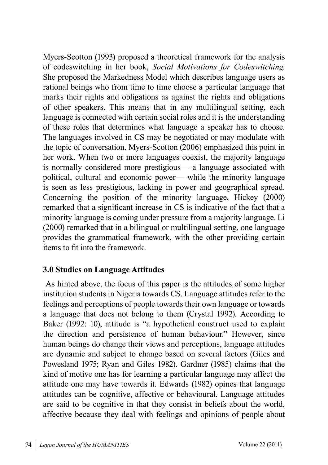Myers-Scotton (1993) proposed a theoretical framework for the analysis of codeswitching in her book, *Social Motivations for Codeswitching*. She proposed the Markedness Model which describes language users as rational beings who from time to time choose a particular language that marks their rights and obligations as against the rights and obligations of other speakers. This means that in any multilingual setting, each language is connected with certain social roles and it is the understanding of these roles that determines what language a speaker has to choose. The languages involved in CS may be negotiated or may modulate with the topic of conversation. Myers-Scotton (2006) emphasized this point in her work. When two or more languages coexist, the majority language is normally considered more prestigious— a language associated with political, cultural and economic power— while the minority language is seen as less prestigious, lacking in power and geographical spread. Concerning the position of the minority language, Hickey (2000) remarked that a significant increase in CS is indicative of the fact that a minority language is coming under pressure from a majority language. Li (2000) remarked that in a bilingual or multilingual setting, one language provides the grammatical framework, with the other providing certain items to fit into the framework.

## **3.0 Studies on Language Attitudes**

 As hinted above, the focus of this paper is the attitudes of some higher institution students in Nigeria towards CS. Language attitudes refer to the feelings and perceptions of people towards their own language or towards a language that does not belong to them (Crystal 1992). According to Baker (1992: 10), attitude is "a hypothetical construct used to explain the direction and persistence of human behaviour." However, since human beings do change their views and perceptions, language attitudes are dynamic and subject to change based on several factors (Giles and Powesland 1975; Ryan and Giles 1982). Gardner (1985) claims that the kind of motive one has for learning a particular language may affect the attitude one may have towards it. Edwards (1982) opines that language attitudes can be cognitive, affective or behavioural. Language attitudes are said to be cognitive in that they consist in beliefs about the world, affective because they deal with feelings and opinions of people about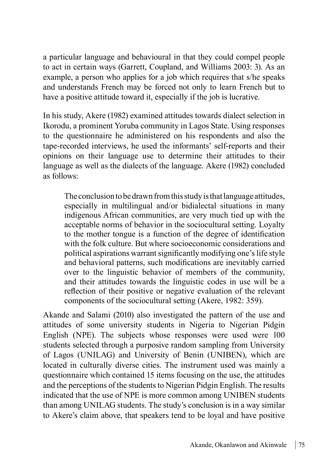a particular language and behavioural in that they could compel people to act in certain ways (Garrett, Coupland, and Williams 2003: 3). As an example, a person who applies for a job which requires that s/he speaks and understands French may be forced not only to learn French but to have a positive attitude toward it, especially if the job is lucrative.

In his study, Akere (1982) examined attitudes towards dialect selection in Ikorodu, a prominent Yoruba community in Lagos State. Using responses to the questionnaire he administered on his respondents and also the tape-recorded interviews, he used the informants' self-reports and their opinions on their language use to determine their attitudes to their language as well as the dialects of the language. Akere (1982) concluded as follows:

The conclusion to be drawn from this study is that language attitudes, especially in multilingual and/or bidialectal situations in many indigenous African communities, are very much tied up with the acceptable norms of behavior in the sociocultural setting. Loyalty to the mother tongue is a function of the degree of identification with the folk culture. But where socioeconomic considerations and political aspirations warrant significantly modifying one's life style and behavioral patterns, such modifications are inevitably carried over to the linguistic behavior of members of the community, and their attitudes towards the linguistic codes in use will be a reflection of their positive or negative evaluation of the relevant components of the sociocultural setting (Akere, 1982: 359).

Akande and Salami (2010) also investigated the pattern of the use and attitudes of some university students in Nigeria to Nigerian Pidgin English (NPE). The subjects whose responses were used were 100 students selected through a purposive random sampling from University of Lagos (UNILAG) and University of Benin (UNIBEN), which are located in culturally diverse cities. The instrument used was mainly a questionnaire which contained 15 items focusing on the use, the attitudes and the perceptions of the students to Nigerian Pidgin English. The results indicated that the use of NPE is more common among UNIBEN students than among UNILAG students. The study's conclusion is in a way similar to Akere's claim above, that speakers tend to be loyal and have positive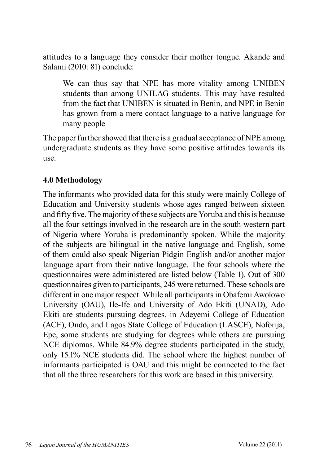attitudes to a language they consider their mother tongue. Akande and Salami (2010: 81) conclude:

We can thus say that NPE has more vitality among UNIBEN students than among UNILAG students. This may have resulted from the fact that UNIBEN is situated in Benin, and NPE in Benin has grown from a mere contact language to a native language for many people

The paper further showed that there is a gradual acceptance of NPE among undergraduate students as they have some positive attitudes towards its use.

## **4.0 Methodology**

The informants who provided data for this study were mainly College of Education and University students whose ages ranged between sixteen and fifty five. The majority of these subjects are Yoruba and this is because all the four settings involved in the research are in the south-western part of Nigeria where Yoruba is predominantly spoken. While the majority of the subjects are bilingual in the native language and English, some of them could also speak Nigerian Pidgin English and/or another major language apart from their native language. The four schools where the questionnaires were administered are listed below (Table 1). Out of 300 questionnaires given to participants, 245 were returned. These schools are different in one major respect. While all participants in Obafemi Awolowo University (OAU), Ile-Ife and University of Ado Ekiti (UNAD), Ado Ekiti are students pursuing degrees, in Adeyemi College of Education (ACE), Ondo, and Lagos State College of Education (LASCE), Noforija, Epe, some students are studying for degrees while others are pursuing NCE diplomas. While 84.9% degree students participated in the study, only 15.1% NCE students did. The school where the highest number of informants participated is OAU and this might be connected to the fact that all the three researchers for this work are based in this university.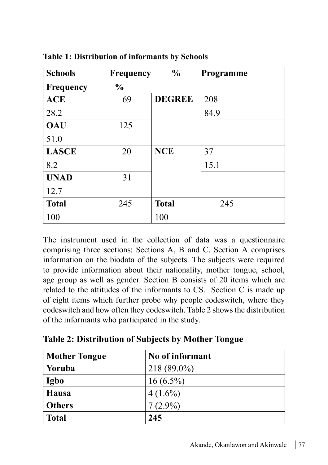| <b>Schools</b>   | <b>Frequency</b> | $\frac{6}{9}$ | Programme |
|------------------|------------------|---------------|-----------|
| <b>Frequency</b> | $\%$             |               |           |
| <b>ACE</b>       | 69               | <b>DEGREE</b> | 208       |
| 28.2             |                  |               | 84.9      |
| <b>OAU</b>       | 125              |               |           |
| 51.0             |                  |               |           |
| <b>LASCE</b>     | 20               | <b>NCE</b>    | 37        |
| 8.2              |                  |               | 15.1      |
| <b>UNAD</b>      | 31               |               |           |
| 12.7             |                  |               |           |
| <b>Total</b>     | 245              | <b>Total</b>  | 245       |
| 100              |                  | 100           |           |

**Table 1: Distribution of informants by Schools**

The instrument used in the collection of data was a questionnaire comprising three sections: Sections A, B and C. Section A comprises information on the biodata of the subjects. The subjects were required to provide information about their nationality, mother tongue, school, age group as well as gender. Section B consists of 20 items which are related to the attitudes of the informants to CS. Section C is made up of eight items which further probe why people codeswitch, where they codeswitch and how often they codeswitch. Table 2 shows the distribution of the informants who participated in the study.

| <b>Mother Tongue</b> | No of informant |
|----------------------|-----------------|
| Yoruba               | $218(89.0\%)$   |
| Igbo                 | $16(6.5\%)$     |
| Hausa                | $4(1.6\%)$      |
| Others               | $7(2.9\%)$      |
| <b>Total</b>         | 245             |

**Table 2: Distribution of Subjects by Mother Tongue**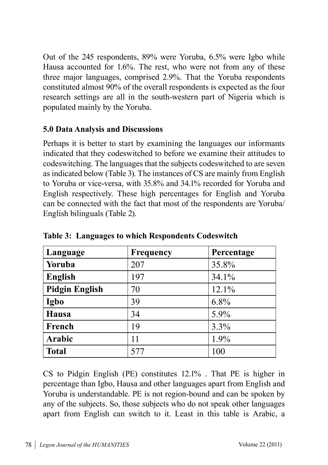Out of the 245 respondents, 89% were Yoruba, 6.5% were Igbo while Hausa accounted for 1.6%. The rest, who were not from any of these three major languages, comprised 2.9%. That the Yoruba respondents constituted almost 90% of the overall respondents is expected as the four research settings are all in the south-western part of Nigeria which is populated mainly by the Yoruba.

## **5.0 Data Analysis and Discussions**

Perhaps it is better to start by examining the languages our informants indicated that they codeswitched to before we examine their attitudes to codeswitching. The languages that the subjects codeswitched to are seven as indicated below (Table 3). The instances of CS are mainly from English to Yoruba or vice-versa, with 35.8% and 34.1% recorded for Yoruba and English respectively. These high percentages for English and Yoruba can be connected with the fact that most of the respondents are Yoruba/ English bilinguals (Table 2).

| Language              | Frequency | Percentage |
|-----------------------|-----------|------------|
| Yoruba                | 207       | 35.8%      |
| <b>English</b>        | 197       | 34.1%      |
| <b>Pidgin English</b> | 70        | 12.1%      |
| Igbo                  | 39        | 6.8%       |
| Hausa                 | 34        | 5.9%       |
| French                | 19        | 3.3%       |
| Arabic                | 11        | 1.9%       |
| <b>Total</b>          | 577       | 100        |

**Table 3: Languages to which Respondents Codeswitch**

CS to Pidgin English (PE) constitutes 12.1% . That PE is higher in percentage than Igbo, Hausa and other languages apart from English and Yoruba is understandable. PE is not region-bound and can be spoken by any of the subjects. So, those subjects who do not speak other languages apart from English can switch to it. Least in this table is Arabic, a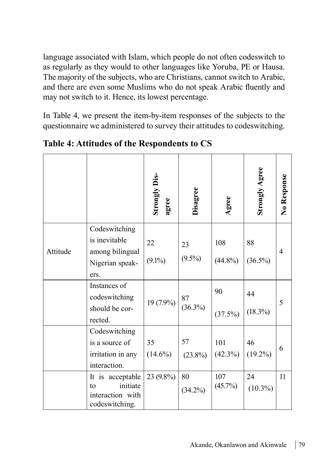language associated with Islam, which people do not often codeswitch to as regularly as they would to other languages like Yoruba, PE or Hausa. The majority of the subjects, who are Christians, cannot switch to Arabic, and there are even some Muslims who do not speak Arabic fluently and may not switch to it. Hence, its lowest percentage.

In Table 4, we present the item-by-item responses of the subjects to the questionnaire we administered to survey their attitudes to codeswitching.

|          |                                                                              | <b>Strongly Dis-</b><br>agree | Disagree         | Agree             | <b>Strongly Agree</b> | No Response    |
|----------|------------------------------------------------------------------------------|-------------------------------|------------------|-------------------|-----------------------|----------------|
| Attitude | Codeswitching<br>is inevitable<br>among bilingual<br>Nigerian speak-<br>ers. | 22<br>$(9.1\%)$               | 23<br>$(9.5\%)$  | 108<br>$(44.8\%)$ | 88<br>$(36.5\%)$      | $\overline{4}$ |
|          | Instances of<br>codeswitching<br>should be cor-<br>rected.                   | 19 (7.9%)                     | 87<br>$(36.3\%)$ | 90<br>(37.5%)     | 44<br>$(18.3\%)$      | 5              |
|          | Codeswitching<br>is a source of<br>irritation in any<br>interaction.         | 35<br>$(14.6\%)$              | 57<br>$(23.8\%)$ | 101<br>$(42.3\%)$ | 46<br>$(19.2\%)$      | 6              |
|          | It is acceptable<br>initiate<br>to<br>interaction with<br>codeswitching.     | 23 (9.8%)                     | 80<br>$(34.2\%)$ | 107<br>(45.7%)    | 24<br>$(10.3\%)$      | 11             |

**Table 4: Attitudes of the Respondents to CS**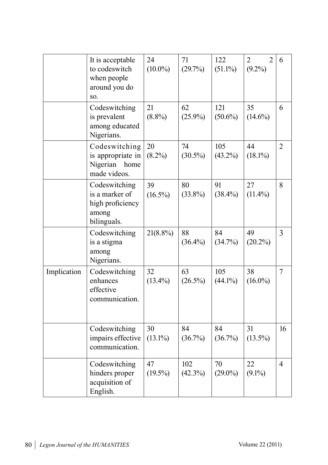|             | It is acceptable<br>to codeswitch<br>when people<br>around you do<br>SO.    | 24<br>$(10.0\%)$ | 71<br>(29.7%)     | 122<br>$(51.1\%)$ | $\overline{2}$<br>$\overline{2}$<br>$(9.2\%)$ | 6              |
|-------------|-----------------------------------------------------------------------------|------------------|-------------------|-------------------|-----------------------------------------------|----------------|
|             | Codeswitching<br>is prevalent<br>among educated<br>Nigerians.               | 21<br>$(8.8\%)$  | 62<br>$(25.9\%)$  | 121<br>$(50.6\%)$ | 35<br>$(14.6\%)$                              | 6              |
|             | Codeswitching<br>is appropriate in<br>Nigerian<br>home<br>made videos.      | 20<br>$(8.2\%)$  | 74<br>$(30.5\%)$  | 105<br>$(43.2\%)$ | 44<br>$(18.1\%)$                              | $\overline{2}$ |
|             | Codeswitching<br>is a marker of<br>high proficiency<br>among<br>bilinguals. | 39<br>$(16.5\%)$ | 80<br>$(33.8\%)$  | 91<br>$(38.4\%)$  | 27<br>$(11.4\%)$                              | 8              |
|             | Codeswitching<br>is a stigma<br>among<br>Nigerians.                         | $21(8.8\%)$      | 88<br>$(36.4\%)$  | 84<br>(34.7%)     | 49<br>$(20.2\%)$                              | $\overline{3}$ |
| Implication | Codeswitching<br>enhances<br>effective<br>communication.                    | 32<br>$(13.4\%)$ | 63<br>$(26.5\%)$  | 105<br>$(44.1\%)$ | 38<br>$(16.0\%)$                              | $\overline{7}$ |
|             | Codeswitching<br>impairs effective<br>communication.                        | 30<br>$(13.1\%)$ | 84<br>(36.7%)     | 84<br>$(36.7\%)$  | 31<br>$(13.5\%)$                              | 16             |
|             | Codeswitching<br>hinders proper<br>acquisition of<br>English.               | 47<br>$(19.5\%)$ | 102<br>$(42.3\%)$ | 70<br>$(29.0\%)$  | 22<br>$(9.1\%)$                               | $\overline{4}$ |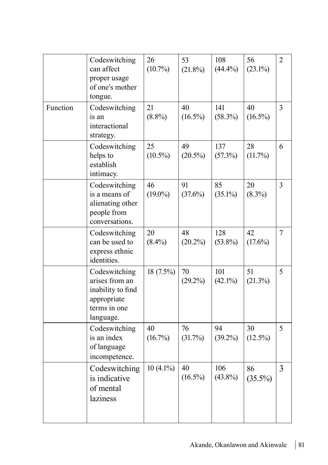|          | Codeswitching<br>can affect<br>proper usage<br>of one's mother<br>tongue.                        | 26<br>$(10.7\%)$ | 53<br>$(21.8\%)$ | 108<br>$(44.4\%)$ | 56<br>$(23.1\%)$ | $\overline{2}$ |
|----------|--------------------------------------------------------------------------------------------------|------------------|------------------|-------------------|------------------|----------------|
| Function | Codeswitching<br>is an<br>interactional<br>strategy.                                             | 21<br>$(8.8\%)$  | 40<br>$(16.5\%)$ | 141<br>$(58.3\%)$ | 40<br>$(16.5\%)$ | $\overline{3}$ |
|          | Codeswitching<br>helps to<br>establish<br>intimacy.                                              | 25<br>$(10.5\%)$ | 49<br>$(20.5\%)$ | 137<br>(57.3%)    | 28<br>(11.7%)    | 6              |
|          | Codeswitching<br>is a means of<br>alienating other<br>people from<br>conversations.              | 46<br>$(19.0\%)$ | 91<br>$(37.6\%)$ | 85<br>$(35.1\%)$  | 20<br>$(8.3\%)$  | $\overline{3}$ |
|          | Codeswitching<br>can be used to<br>express ethnic<br>identities.                                 | 20<br>$(8.4\%)$  | 48<br>$(20.2\%)$ | 128<br>$(53.8\%)$ | 42<br>$(17.6\%)$ | $\overline{7}$ |
|          | Codeswitching<br>arises from an<br>inability to find<br>appropriate<br>terms in one<br>language. | 18 (7.5%)        | 70<br>$(29.2\%)$ | 101<br>$(42.1\%)$ | 51<br>$(21.3\%)$ | 5              |
|          | Codeswitching<br>is an index<br>of language<br>incompetence.                                     | 40<br>$(16.7\%)$ | 76<br>(31.7%)    | 94<br>$(39.2\%)$  | 30<br>$(12.5\%)$ | 5              |
|          | Codeswitching<br>is indicative<br>of mental<br>laziness                                          | $10(4.1\%)$      | 40<br>$(16.5\%)$ | 106<br>$(43.8\%)$ | 86<br>$(35.5\%)$ | $\overline{3}$ |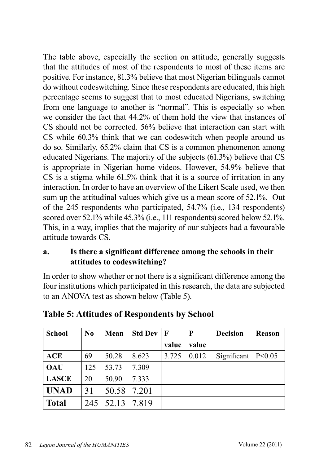The table above, especially the section on attitude, generally suggests that the attitudes of most of the respondents to most of these items are positive. For instance, 81.3% believe that most Nigerian bilinguals cannot do without codeswitching. Since these respondents are educated, this high percentage seems to suggest that to most educated Nigerians, switching from one language to another is "normal". This is especially so when we consider the fact that 44.2% of them hold the view that instances of CS should not be corrected. 56% believe that interaction can start with CS while 60.3% think that we can codeswitch when people around us do so. Similarly, 65.2% claim that CS is a common phenomenon among educated Nigerians. The majority of the subjects (61.3%) believe that CS is appropriate in Nigerian home videos. However, 54.9% believe that CS is a stigma while 61.5% think that it is a source of irritation in any interaction. In order to have an overview of the Likert Scale used, we then sum up the attitudinal values which give us a mean score of 52.1%. Out of the 245 respondents who participated, 54.7% (i.e., 134 respondents) scored over 52.1% while 45.3% (i.e., 111 respondents) scored below 52.1%. This, in a way, implies that the majority of our subjects had a favourable attitude towards CS.

## **a. Is there a significant difference among the schools in their attitudes to codeswitching?**

In order to show whether or not there is a significant difference among the four institutions which participated in this research, the data are subjected to an ANOVA test as shown below (Table 5).

| <b>School</b> | N <sub>0</sub> | Mean  | <b>Std Dev</b> | $\mathbf{F}$ | P     | <b>Decision</b>        | Reason |
|---------------|----------------|-------|----------------|--------------|-------|------------------------|--------|
|               |                |       |                | value        | value |                        |        |
| ACE           | 69             | 50.28 | 8.623          | 3.725        | 0.012 | Significant   $P<0.05$ |        |
| OAU           | 125            | 53.73 | 7.309          |              |       |                        |        |
| LASCE         | 20             | 50.90 | 7.333          |              |       |                        |        |
| UNAD          | 31             | 50.58 | 7.201          |              |       |                        |        |
| Total         | 245            | 52.13 | 7.819          |              |       |                        |        |

**Table 5: Attitudes of Respondents by School**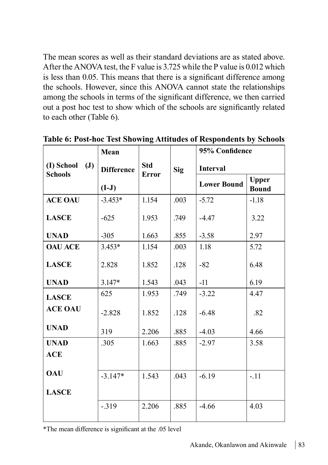The mean scores as well as their standard deviations are as stated above. After the ANOVA test, the F value is 3.725 while the P value is 0.012 which is less than 0.05. This means that there is a significant difference among the schools. However, since this ANOVA cannot state the relationships among the schools in terms of the significant difference, we then carried out a post hoc test to show which of the schools are significantly related to each other (Table 6).

|                                                | Mean              |                            |            | 95% Confidence     |                              |
|------------------------------------------------|-------------------|----------------------------|------------|--------------------|------------------------------|
| (I) School<br>$(\mathbf{J})$<br><b>Schools</b> | <b>Difference</b> | <b>Std</b><br><b>Error</b> | <b>Sig</b> | <b>Interval</b>    |                              |
|                                                | $(I-J)$           |                            |            | <b>Lower Bound</b> | <b>Upper</b><br><b>Bound</b> |
| <b>ACE OAU</b>                                 | $-3.453*$         | 1.154                      | .003       | $-5.72$            | $-1.18$                      |
| <b>LASCE</b>                                   | $-625$            | 1.953                      | .749       | $-4.47$            | 3.22                         |
| <b>UNAD</b>                                    | $-305$            | 1.663                      | .855       | $-3.58$            | 2.97                         |
| <b>OAU ACE</b>                                 | $3.453*$          | 1.154                      | .003       | 1.18               | 5.72                         |
| <b>LASCE</b>                                   | 2.828             | 1.852                      | .128       | $-82$              | 6.48                         |
| <b>UNAD</b>                                    | $3.147*$          | 1.543                      | .043       | $-11$              | 6.19                         |
| <b>LASCE</b>                                   | 625               | 1.953                      | .749       | $-3.22$            | 4.47                         |
| <b>ACE OAU</b>                                 | $-2.828$          | 1.852                      | .128       | $-6.48$            | .82                          |
| <b>UNAD</b>                                    | 319               | 2.206                      | .885       | $-4.03$            | 4.66                         |
| <b>UNAD</b>                                    | .305              | 1.663                      | .885       | $-2.97$            | 3.58                         |
| <b>ACE</b>                                     |                   |                            |            |                    |                              |
| <b>OAU</b>                                     | $-3.147*$         | 1.543                      | .043       | $-6.19$            | $-.11$                       |
| <b>LASCE</b>                                   |                   |                            |            |                    |                              |
|                                                | $-319$            | 2.206                      | .885       | $-4.66$            | 4.03                         |

**Table 6: Post-hoc Test Showing Attitudes of Respondents by Schools**

\*The mean difference is significant at the .05 level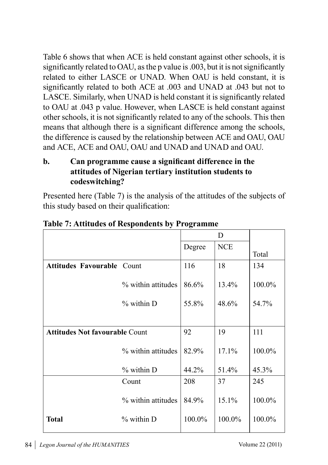Table 6 shows that when ACE is held constant against other schools, it is significantly related to OAU, as the p value is .003, but it is not significantly related to either LASCE or UNAD. When OAU is held constant, it is significantly related to both ACE at .003 and UNAD at .043 but not to LASCE. Similarly, when UNAD is held constant it is significantly related to OAU at .043 p value. However, when LASCE is held constant against other schools, it is not significantly related to any of the schools. This then means that although there is a significant difference among the schools, the difference is caused by the relationship between ACE and OAU, OAU and ACE, ACE and OAU, OAU and UNAD and UNAD and OAU.

**b. Can programme cause a significant difference in the attitudes of Nigerian tertiary institution students to codeswitching?**

Presented here (Table 7) is the analysis of the attitudes of the subjects of this study based on their qualification:

|                                       |                    |        | D          |        |
|---------------------------------------|--------------------|--------|------------|--------|
|                                       |                    | Degree | <b>NCE</b> |        |
|                                       |                    |        |            | Total  |
| <b>Attitudes Favourable Count</b>     |                    | 116    | 18         | 134    |
|                                       | % within attitudes | 86.6%  | 13.4%      | 100.0% |
|                                       | $%$ within $D$     | 55.8%  | 48.6%      | 54.7%  |
|                                       |                    |        |            |        |
| <b>Attitudes Not favourable Count</b> |                    | 92     | 19         | 111    |
|                                       | % within attitudes | 82.9%  | 17.1%      | 100.0% |
|                                       | % within D         | 44.2%  | 51.4%      | 45.3%  |
|                                       | Count              | 208    | 37         | 245    |
|                                       | % within attitudes | 84.9%  | 15.1%      | 100.0% |
| <b>Total</b>                          | % within D         | 100.0% | 100.0%     | 100.0% |

**Table 7: Attitudes of Respondents by Programme**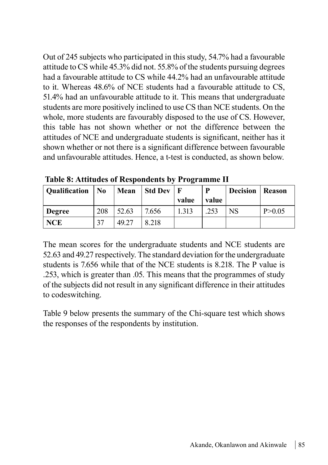Out of 245 subjects who participated in this study, 54.7% had a favourable attitude to CS while 45.3% did not. 55.8% of the students pursuing degrees had a favourable attitude to CS while 44.2% had an unfavourable attitude to it. Whereas 48.6% of NCE students had a favourable attitude to CS, 51.4% had an unfavourable attitude to it. This means that undergraduate students are more positively inclined to use CS than NCE students. On the whole, more students are favourably disposed to the use of CS. However, this table has not shown whether or not the difference between the attitudes of NCE and undergraduate students is significant, neither has it shown whether or not there is a significant difference between favourable and unfavourable attitudes. Hence, a t-test is conducted, as shown below.

| Qualification | No  | Mean  | Std Dev |       | D     | <b>Decision   Reason</b> |          |
|---------------|-----|-------|---------|-------|-------|--------------------------|----------|
|               |     |       |         | value | value |                          |          |
| Degree        | 208 | 52.63 | 7.656   | 1.313 | 253   | NS                       | P > 0.05 |
| NCE           | 37  | 49.27 | 8.218   |       |       |                          |          |

 **Table 8: Attitudes of Respondents by Programme II**

The mean scores for the undergraduate students and NCE students are 52.63 and 49.27 respectively. The standard deviation for the undergraduate students is 7.656 while that of the NCE students is 8.218. The P value is .253, which is greater than .05. This means that the programmes of study of the subjects did not result in any significant difference in their attitudes to codeswitching.

Table 9 below presents the summary of the Chi-square test which shows the responses of the respondents by institution.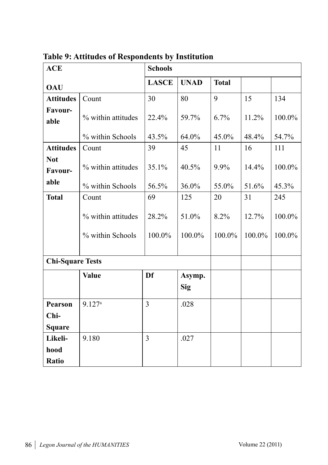| <b>ACE</b>              |                    | <b>Schools</b> |             |              |        |        |
|-------------------------|--------------------|----------------|-------------|--------------|--------|--------|
| <b>OAU</b>              |                    | <b>LASCE</b>   | <b>UNAD</b> | <b>Total</b> |        |        |
| <b>Attitudes</b>        | Count              | 30             | 80          | 9            | 15     | 134    |
| Favour-<br>able         | % within attitudes | 22.4%          | 59.7%       | $6.7\%$      | 11.2%  | 100.0% |
|                         | % within Schools   | 43.5%          | 64.0%       | 45.0%        | 48.4%  | 54.7%  |
| <b>Attitudes</b>        | Count              | 39             | 45          | 11           | 16     | 111    |
| <b>Not</b><br>Favour-   | % within attitudes | 35.1%          | 40.5%       | 9.9%         | 14.4%  | 100.0% |
| able                    | % within Schools   | 56.5%          | 36.0%       | 55.0%        | 51.6%  | 45.3%  |
| <b>Total</b>            | Count              | 69             | 125         | 20           | 31     | 245    |
|                         | % within attitudes | 28.2%          | 51.0%       | 8.2%         | 12.7%  | 100.0% |
|                         | % within Schools   | 100.0%         | 100.0%      | 100.0%       | 100.0% | 100.0% |
| <b>Chi-Square Tests</b> |                    |                |             |              |        |        |
|                         | <b>Value</b>       | Df             | Asymp.      |              |        |        |
|                         |                    |                | Sig         |              |        |        |
| <b>Pearson</b>          | 9.127a             | 3              | .028        |              |        |        |
| Chi-                    |                    |                |             |              |        |        |
| <b>Square</b>           |                    |                |             |              |        |        |
| Likeli-                 | 9.180              | 3              | .027        |              |        |        |
| hood                    |                    |                |             |              |        |        |
| Ratio                   |                    |                |             |              |        |        |

**Table 9: Attitudes of Respondents by Institution**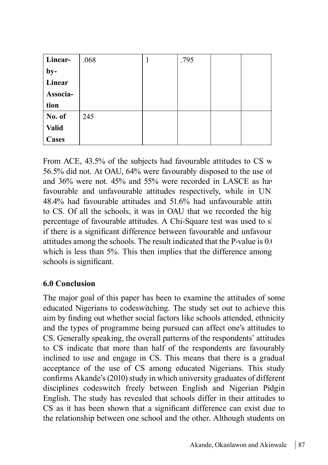| Linear-        | .068 | .795 |  |
|----------------|------|------|--|
| $by-$          |      |      |  |
| Linear         |      |      |  |
| Associa-       |      |      |  |
| tion           |      |      |  |
| $\vert$ No. of | 245  |      |  |
| <b>Valid</b>   |      |      |  |
| <b>Cases</b>   |      |      |  |

From ACE,  $43.5\%$  of the subjects had favourable attitudes to CS w 56.5% did not. At OAU, 64% were favourably disposed to the use of and 36% were not. 45% and 55% were recorded in LASCE as have favourable and unfavourable attitudes respectively, while in UN.  $48.4\%$  had favourable attitudes and  $51.6\%$  had unfavourable attitudes to CS. Of all the schools, it was in OAU that we recorded the highest percentage of favourable attitudes. A Chi-Square test was used to sl if there is a significant difference between favourable and unfavour attitudes among the schools. The result indicated that the P-value is 0.000 attitudes which is less than 5%. This then implies that the difference among schools is significant.

## **6.0 Conclusion**

The major goal of this paper has been to examine the attitudes of some educated Nigerians to codeswitching. The study set out to achieve this aim by finding out whether social factors like schools attended, ethnicity and the types of programme being pursued can affect one's attitudes to CS. Generally speaking, the overall patterns of the respondents' attitudes to CS indicate that more than half of the respondents are favourably inclined to use and engage in CS. This means that there is a gradual acceptance of the use of CS among educated Nigerians. This study confirms Akande's (2010) study in which university graduates of different disciplines codeswitch freely between English and Nigerian Pidgin English. The study has revealed that schools differ in their attitudes to CS as it has been shown that a significant difference can exist due to the relationship between one school and the other. Although students on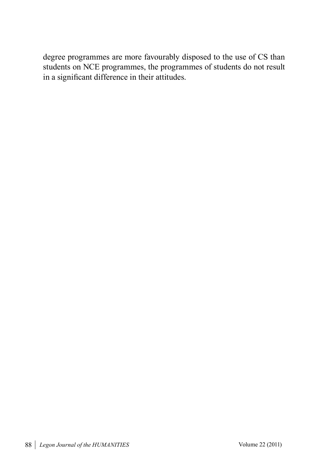degree programmes are more favourably disposed to the use of CS than students on NCE programmes, the programmes of students do not result in a significant difference in their attitudes.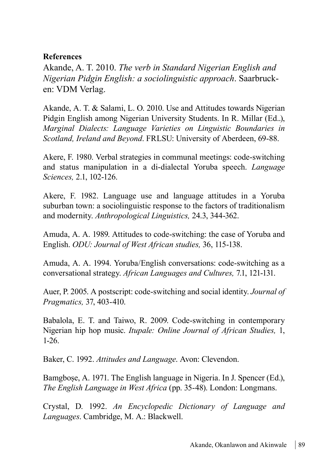### **References**

Akande, A. T. 2010. *The verb in Standard Nigerian English and Nigerian Pidgin English: a sociolinguistic approach*. Saarbrucken: VDM Verlag.

Akande, A. T. & Salami, L. O. 2010. Use and Attitudes towards Nigerian Pidgin English among Nigerian University Students. In R. Millar (Ed..), *Marginal Dialects: Language Varieties on Linguistic Boundaries in Scotland, Ireland and Beyond*. FRLSU: University of Aberdeen, 69-88.

Akere, F. 1980. Verbal strategies in communal meetings: code-switching and status manipulation in a di-dialectal Yoruba speech. *Language Sciences,* 2.1, 102-126.

Akere, F. 1982. Language use and language attitudes in a Yoruba suburban town: a sociolinguistic response to the factors of traditionalism and modernity. *Anthropological Linguistics,* 24.3, 344-362.

Amuda, A. A. 1989. Attitudes to code-switching: the case of Yoruba and English. *ODU: Journal of West African studies,* 36, 115-138.

Amuda, A. A. 1994. Yoruba/English conversations: code-switching as a conversational strategy. *African Languages and Cultures,* 7.1, 121-131.

Auer, P. 2005. A postscript: code-switching and social identity. *Journal of Pragmatics,* 37, 403-410.

Babalola, E. T. and Taiwo, R. 2009. Code-switching in contemporary Nigerian hip hop music. *Itupale: Online Journal of African Studies,* 1, 1-26.

Baker, C. 1992. *Attitudes and Language*. Avon: Clevendon.

Bamgboṣe, A. 1971. The English language in Nigeria. In J. Spencer (Ed.), *The English Language in West Africa* (pp. 35-48). London: Longmans.

Crystal, D. 1992. *An Encyclopedic Dictionary of Language and Languages*. Cambridge, M. A.: Blackwell.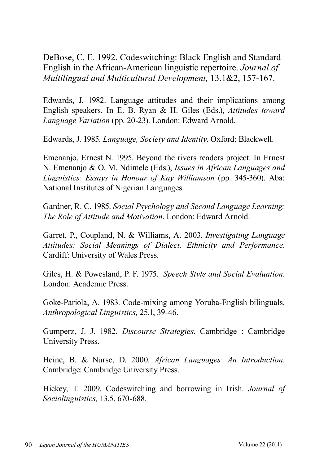DeBose, C. E. 1992. Codeswitching: Black English and Standard English in the African-American linguistic repertoire. *Journal of Multilingual and Multicultural Development,* 13.1&2, 157-167.

Edwards, J. 1982. Language attitudes and their implications among English speakers. In E. B. Ryan & H. Giles (Eds.), *Attitudes toward Language Variation* (pp. 20-23). London: Edward Arnold.

Edwards, J. 1985. *Language, Society and Identity*. Oxford: Blackwell.

Emenanjo, Ernest N. 1995. Beyond the rivers readers project. In Ernest N. Emenanjo & O. M. Ndimele (Eds.), *Issues in African Languages and Linguistics: Essays in Honour of Kay Williamson* (pp. 345-360). Aba: National Institutes of Nigerian Languages.

Gardner, R. C. 1985. *Social Psychology and Second Language Learning: The Role of Attitude and Motivation*. London: Edward Arnold.

Garret, P., Coupland, N. & Williams, A. 2003. *Investigating Language Attitudes: Social Meanings of Dialect, Ethnicity and Performance*. Cardiff: University of Wales Press.

Giles, H. & Powesland, P. F. 1975. *Speech Style and Social Evaluation*. London: Academic Press.

Goke-Pariola, A. 1983. Code-mixing among Yoruba-English bilinguals. *Anthropological Linguistics,* 25.1, 39-46.

Gumperz, J. J. 1982. *Discourse Strategies*. Cambridge : Cambridge University Press.

Heine, B. & Nurse, D. 2000. *African Languages: An Introduction*. Cambridge: Cambridge University Press.

Hickey, T. 2009. Codeswitching and borrowing in Irish. *Journal of Sociolinguistics,* 13.5, 670-688.